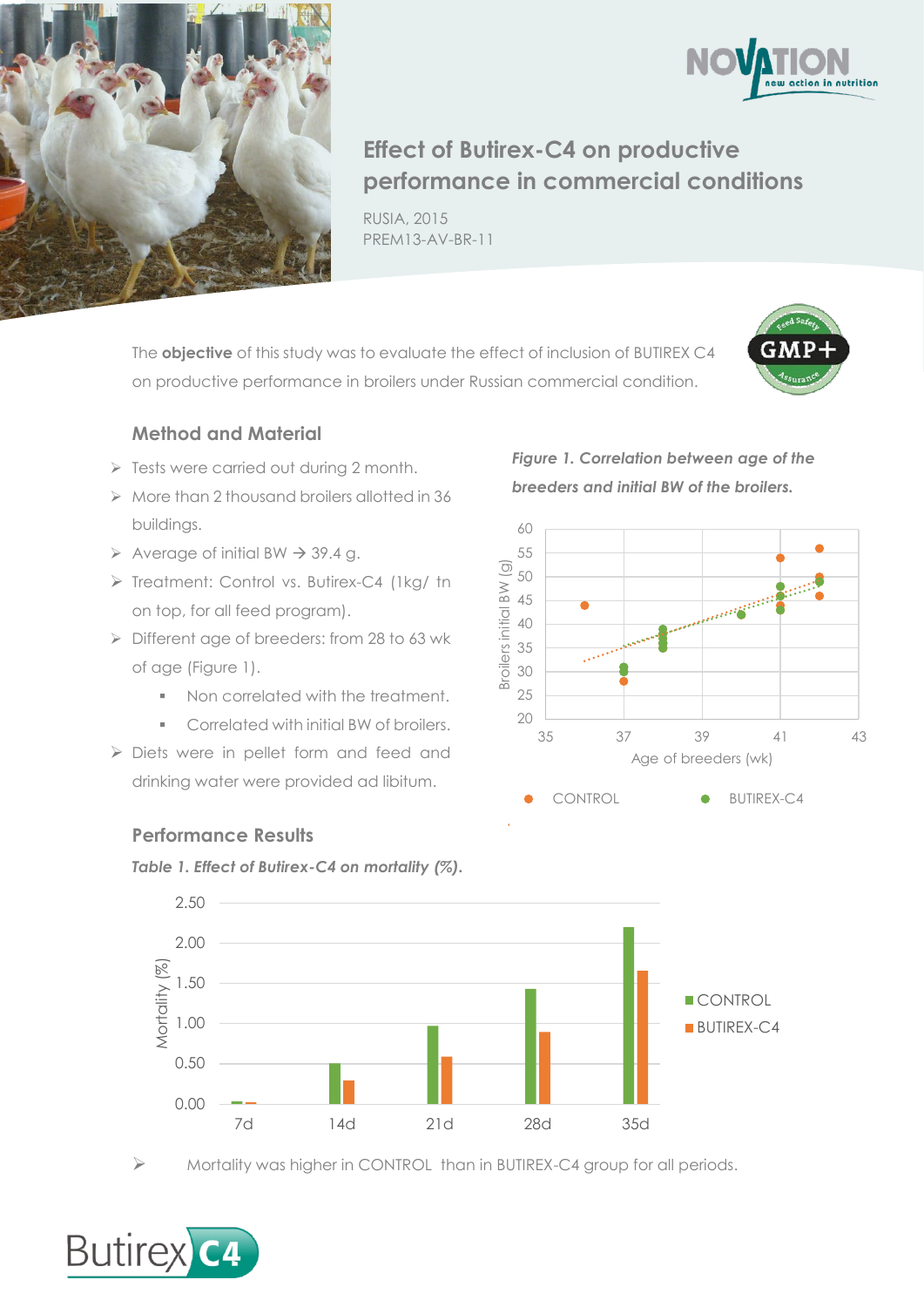



## **Effect of Butirex-C4 on productive performance in commercial conditions**

RUSIA, 2015 PREM13-AV-BR-11

The **objective** of this study was to evaluate the effect of inclusion of BUTIREX C4 on productive performance in broilers under Russian commercial condition.



## **Method and Material**

- $\triangleright$  Tests were carried out during 2 month.
- $\triangleright$  More than 2 thousand broilers allotted in 36 buildings.
- $\triangleright$  Average of initial BW  $\rightarrow$  39.4 g.
- > Treatment: Control vs. Butirex-C4 (1kg/ tn on top, for all feed program).
- Different age of breeders: from 28 to 63 wk of age (Figure 1).
	- Non correlated with the treatment.
	- Correlated with initial BW of broilers.
- Diets were in pellet form and feed and drinking water were provided ad libitum.

*Figure 1. Correlation between age of the breeders and initial BW of the broilers.*



## **Performance Results**

*Table 1. Effect of Butirex-C4 on mortality (%).*



Mortality was higher in CONTROL than in BUTIREX-C4 group for all periods.